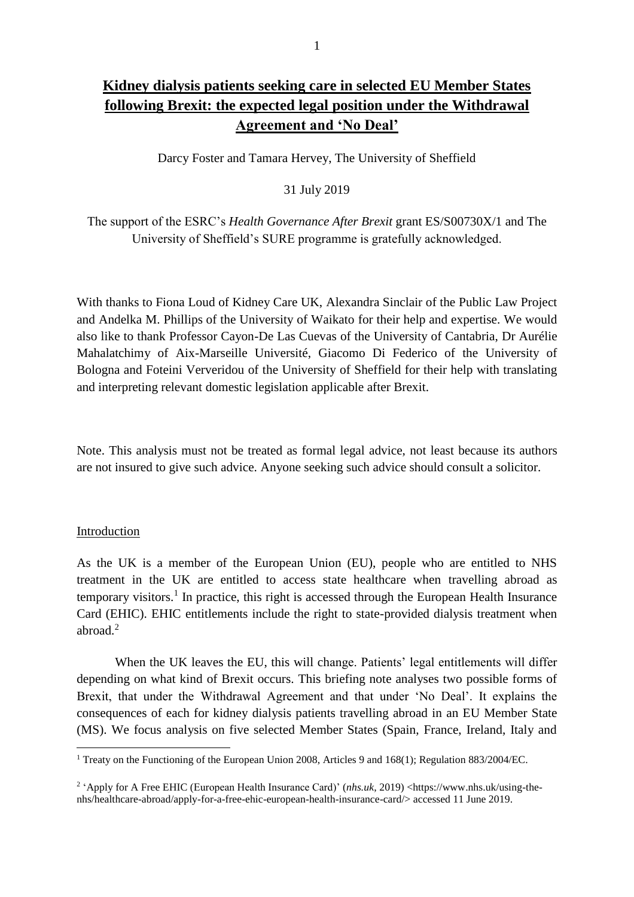# **Kidney dialysis patients seeking care in selected EU Member States following Brexit: the expected legal position under the Withdrawal Agreement and 'No Deal'**

Darcy Foster and Tamara Hervey, The University of Sheffield

31 July 2019

The support of the ESRC's *Health Governance After Brexit* grant ES/S00730X/1 and The University of Sheffield's SURE programme is gratefully acknowledged.

With thanks to Fiona Loud of Kidney Care UK, Alexandra Sinclair of the Public Law Project and Andelka M. Phillips of the University of Waikato for their help and expertise. We would also like to thank Professor Cayon-De Las Cuevas of the University of Cantabria, Dr Aurélie Mahalatchimy of Aix-Marseille Université, Giacomo Di Federico of the University of Bologna and Foteini Ververidou of the University of Sheffield for their help with translating and interpreting relevant domestic legislation applicable after Brexit.

Note. This analysis must not be treated as formal legal advice, not least because its authors are not insured to give such advice. Anyone seeking such advice should consult a solicitor.

## Introduction

 $\overline{a}$ 

As the UK is a member of the European Union (EU), people who are entitled to NHS treatment in the UK are entitled to access state healthcare when travelling abroad as temporary visitors.<sup>1</sup> In practice, this right is accessed through the European Health Insurance Card (EHIC). EHIC entitlements include the right to state-provided dialysis treatment when abroad.<sup>2</sup>

When the UK leaves the EU, this will change. Patients' legal entitlements will differ depending on what kind of Brexit occurs. This briefing note analyses two possible forms of Brexit, that under the Withdrawal Agreement and that under 'No Deal'. It explains the consequences of each for kidney dialysis patients travelling abroad in an EU Member State (MS). We focus analysis on five selected Member States (Spain, France, Ireland, Italy and

<sup>&</sup>lt;sup>1</sup> Treaty on the Functioning of the European Union 2008, Articles 9 and 168(1); Regulation 883/2004/EC.

<sup>&</sup>lt;sup>2</sup> 'Apply for A Free EHIC (European Health Insurance Card)' (*nhs.uk*, 2019) <https://www.nhs.uk/using-thenhs/healthcare-abroad/apply-for-a-free-ehic-european-health-insurance-card/> accessed 11 June 2019.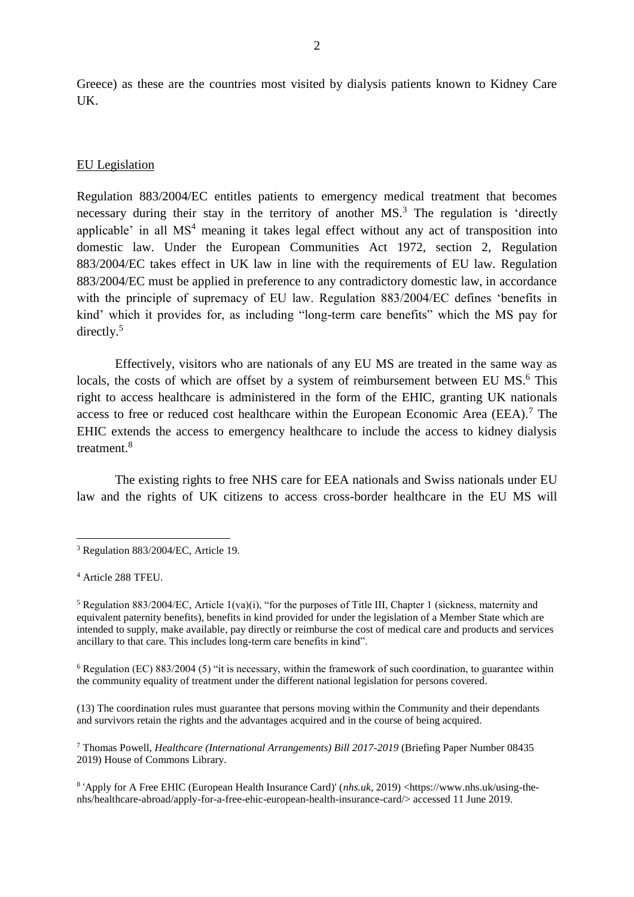Greece) as these are the countries most visited by dialysis patients known to Kidney Care UK.

## EU Legislation

Regulation 883/2004/EC entitles patients to emergency medical treatment that becomes necessary during their stay in the territory of another MS.<sup>3</sup> The regulation is 'directly applicable' in all MS<sup>4</sup> meaning it takes legal effect without any act of transposition into domestic law. Under the European Communities Act 1972, section 2, Regulation 883/2004/EC takes effect in UK law in line with the requirements of EU law. Regulation 883/2004/EC must be applied in preference to any contradictory domestic law, in accordance with the principle of supremacy of EU law. Regulation 883/2004/EC defines 'benefits in kind' which it provides for, as including "long-term care benefits" which the MS pay for directly. $5$ 

Effectively, visitors who are nationals of any EU MS are treated in the same way as locals, the costs of which are offset by a system of reimbursement between EU MS.<sup>6</sup> This right to access healthcare is administered in the form of the EHIC, granting UK nationals access to free or reduced cost healthcare within the European Economic Area (EEA).<sup>7</sup> The EHIC extends the access to emergency healthcare to include the access to kidney dialysis treatment.<sup>8</sup>

The existing rights to free NHS care for EEA nationals and Swiss nationals under EU law and the rights of UK citizens to access cross-border healthcare in the EU MS will

 $\overline{a}$ 

(13) The coordination rules must guarantee that persons moving within the Community and their dependants and survivors retain the rights and the advantages acquired and in the course of being acquired.

<sup>7</sup> Thomas Powell, *Healthcare (International Arrangements) Bill 2017-2019* (Briefing Paper Number 08435 2019) House of Commons Library.

<sup>3</sup> Regulation 883/2004/EC, Article 19.

<sup>4</sup> Article 288 TFEU.

<sup>5</sup> Regulation 883/2004/EC, Article 1(va)(i), "for the purposes of Title III, Chapter 1 (sickness, maternity and equivalent paternity benefits), benefits in kind provided for under the legislation of a Member State which are intended to supply, make available, pay directly or reimburse the cost of medical care and products and services ancillary to that care. This includes long-term care benefits in kind".

<sup>&</sup>lt;sup>6</sup> Regulation (EC) 883/2004 (5) "it is necessary, within the framework of such coordination, to guarantee within the community equality of treatment under the different national legislation for persons covered.

<sup>8</sup> 'Apply for A Free EHIC (European Health Insurance Card)' (*nhs.uk*, 2019) <https://www.nhs.uk/using-thenhs/healthcare-abroad/apply-for-a-free-ehic-european-health-insurance-card/> accessed 11 June 2019.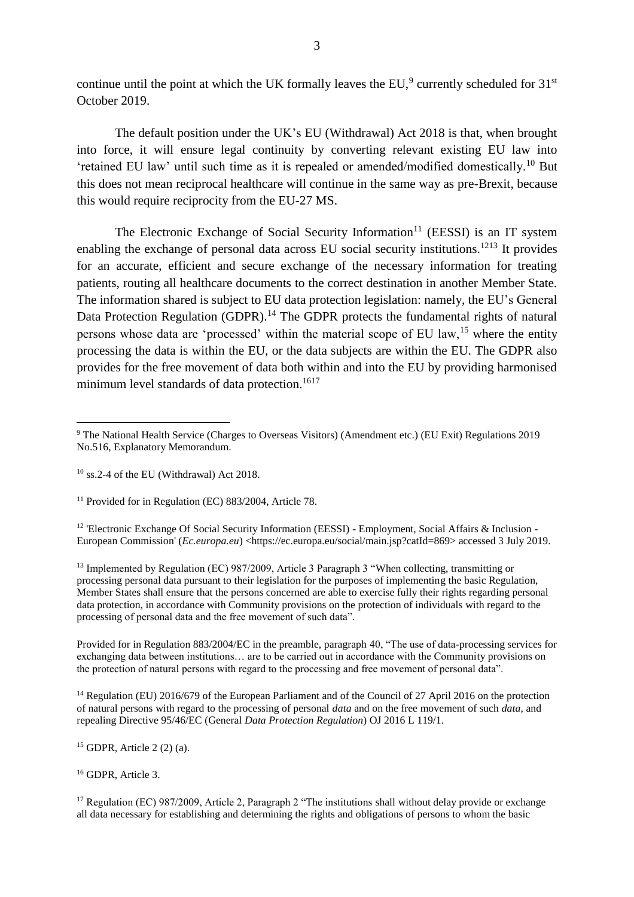continue until the point at which the UK formally leaves the EU,<sup>9</sup> currently scheduled for  $31<sup>st</sup>$ October 2019.

The default position under the UK's EU (Withdrawal) Act 2018 is that, when brought into force, it will ensure legal continuity by converting relevant existing EU law into 'retained EU law' until such time as it is repealed or amended/modified domestically.<sup>10</sup> But this does not mean reciprocal healthcare will continue in the same way as pre-Brexit, because this would require reciprocity from the EU-27 MS.

The Electronic Exchange of Social Security Information<sup>11</sup> (EESSI) is an IT system enabling the exchange of personal data across EU social security institutions.<sup>1213</sup> It provides for an accurate, efficient and secure exchange of the necessary information for treating patients, routing all healthcare documents to the correct destination in another Member State. The information shared is subject to EU data protection legislation: namely, the EU's General Data Protection Regulation (GDPR).<sup>14</sup> The GDPR protects the fundamental rights of natural persons whose data are 'processed' within the material scope of EU law,<sup>15</sup> where the entity processing the data is within the EU, or the data subjects are within the EU. The GDPR also provides for the free movement of data both within and into the EU by providing harmonised minimum level standards of data protection.<sup>1617</sup>

 $11$  Provided for in Regulation (EC) 883/2004, Article 78.

<sup>12</sup> 'Electronic Exchange Of Social Security Information (EESSI) - Employment, Social Affairs & Inclusion -European Commission' (*Ec.europa.eu*) <https://ec.europa.eu/social/main.jsp?catId=869> accessed 3 July 2019.

<sup>13</sup> Implemented by Regulation (EC) 987/2009, Article 3 Paragraph 3 "When collecting, transmitting or processing personal data pursuant to their legislation for the purposes of implementing the basic Regulation, Member States shall ensure that the persons concerned are able to exercise fully their rights regarding personal data protection, in accordance with Community provisions on the protection of individuals with regard to the processing of personal data and the free movement of such data".

Provided for in Regulation 883/2004/EC in the preamble, paragraph 40, "The use of data-processing services for exchanging data between institutions… are to be carried out in accordance with the Community provisions on the protection of natural persons with regard to the processing and free movement of personal data".

<sup>14</sup> [Regulation](https://eur-lex.europa.eu/legal-content/AUTO/?uri=CELEX:32016R0679&qid=1561220451668&rid=2) (EU) 2016/679 of the European Parliament and of the Council of 27 April 2016 on the protection [of natural persons with regard to the processing of personal](https://eur-lex.europa.eu/legal-content/AUTO/?uri=CELEX:32016R0679&qid=1561220451668&rid=2) *[data](https://eur-lex.europa.eu/legal-content/AUTO/?uri=CELEX:32016R0679&qid=1561220451668&rid=2)* [and on the free movement of such](https://eur-lex.europa.eu/legal-content/AUTO/?uri=CELEX:32016R0679&qid=1561220451668&rid=2) *[data](https://eur-lex.europa.eu/legal-content/AUTO/?uri=CELEX:32016R0679&qid=1561220451668&rid=2)*[, and](https://eur-lex.europa.eu/legal-content/AUTO/?uri=CELEX:32016R0679&qid=1561220451668&rid=2)  [repealing Directive 95/46/EC \(General](https://eur-lex.europa.eu/legal-content/AUTO/?uri=CELEX:32016R0679&qid=1561220451668&rid=2) *[Data Protection Regulation](https://eur-lex.europa.eu/legal-content/AUTO/?uri=CELEX:32016R0679&qid=1561220451668&rid=2)*[\) O](https://eur-lex.europa.eu/legal-content/AUTO/?uri=CELEX:32016R0679&qid=1561220451668&rid=2)J 2016 L 119/1.

 $15$  GDPR, Article 2 (2) (a).

<sup>16</sup> GDPR, Article 3.

<sup>17</sup> Regulation (EC) 987/2009, Article 2, Paragraph 2 "The institutions shall without delay provide or exchange all data necessary for establishing and determining the rights and obligations of persons to whom the basic

 $\overline{a}$ <sup>9</sup> The National Health Service (Charges to Overseas Visitors) (Amendment etc.) (EU Exit) Regulations 2019 No.516, Explanatory Memorandum.

 $10$  ss.2-4 of the EU (Withdrawal) Act 2018.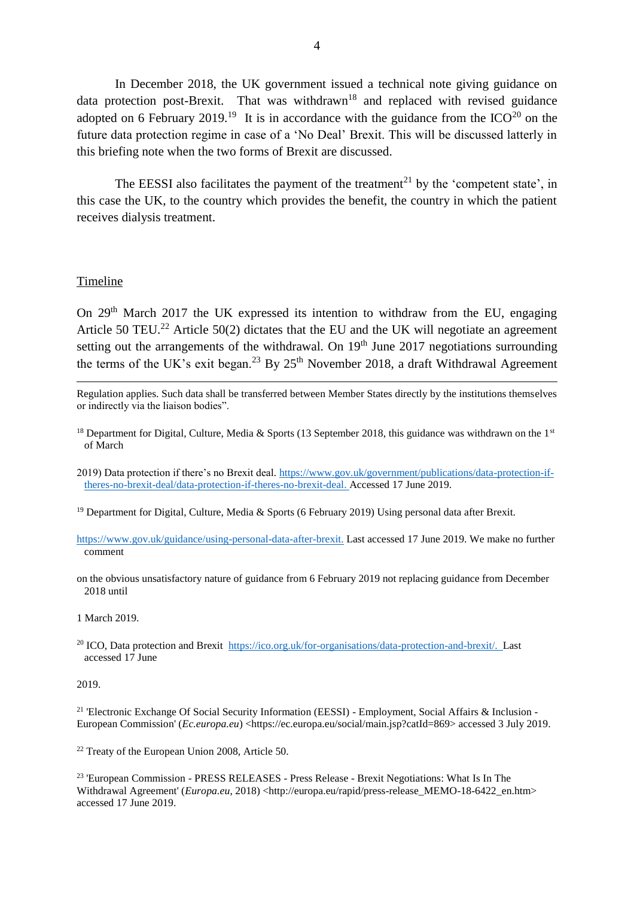In December 2018, the UK government issued a technical note giving guidance on data protection post-Brexit. That was withdrawn<sup>18</sup> and replaced with revised guidance adopted on 6 February 2019.<sup>19</sup> It is in accordance with the guidance from the ICO<sup>20</sup> on the future data protection regime in case of a 'No Deal' Brexit. This will be discussed latterly in this briefing note when the two forms of Brexit are discussed.

The EESSI also facilitates the payment of the treatment<sup>21</sup> by the 'competent state', in this case the UK, to the country which provides the benefit, the country in which the patient receives dialysis treatment.

#### Timeline

 $\overline{a}$ 

On  $29<sup>th</sup>$  March  $2017$  the UK expressed its intention to withdraw from the EU, engaging Article 50 TEU.<sup>22</sup> Article 50(2) dictates that the EU and the UK will negotiate an agreement setting out the arrangements of the withdrawal. On  $19<sup>th</sup>$  June 2017 negotiations surrounding the terms of the UK's exit began.<sup>23</sup> By  $25<sup>th</sup>$  November 2018, a draft Withdrawal Agreement

- Regulation applies. Such data shall be transferred between Member States directly by the institutions themselves or indirectly via the liaison bodies".
- <sup>18</sup> Department for Digital, Culture, Media & Sports (13 September 2018, this guidance was withdrawn on the 1<sup>st</sup> of March
- 2019) Data protection if there's no Brexit deal*.* [https://www.gov.uk/government/publications/data-protection-if](https://www.gov.uk/government/publications/data-protection-if-theres-no-brexit-deal/data-protection-if-theres-no-brexit-deal)[theres-no-brexit-deal/data-protection-if-theres-no-brexit-deal.](https://www.gov.uk/government/publications/data-protection-if-theres-no-brexit-deal/data-protection-if-theres-no-brexit-deal) Accessed 17 June 2019.
- <sup>19</sup> Department for Digital, Culture, Media & Sports (6 February 2019) Using personal data after Brexit.
- [https://www.gov.uk/guidance/using-personal-data-after-brexit.](https://www.gov.uk/guidance/using-personal-data-after-brexit) Last accessed 17 June 2019. We make no further comment
- on the obvious unsatisfactory nature of guidance from 6 February 2019 not replacing guidance from December 2018 until
- 1 March 2019.
- <sup>20</sup> ICO, Data protection and Brexit [https://ico.org.uk/for-organisations/data-protection-and-brexit/.](https://ico.org.uk/for-organisations/data-protection-and-brexit/) Last accessed 17 June

#### 2019.

<sup>21</sup> 'Electronic Exchange Of Social Security Information (EESSI) - Employment, Social Affairs & Inclusion -European Commission' (*Ec.europa.eu*) <https://ec.europa.eu/social/main.jsp?catId=869> accessed 3 July 2019.

<sup>22</sup> Treaty of the European Union 2008, Article 50.

<sup>23</sup> 'European Commission - PRESS RELEASES - Press Release - Brexit Negotiations: What Is In The Withdrawal Agreement' (*Europa.eu*, 2018) <http://europa.eu/rapid/press-release\_MEMO-18-6422\_en.htm> accessed 17 June 2019.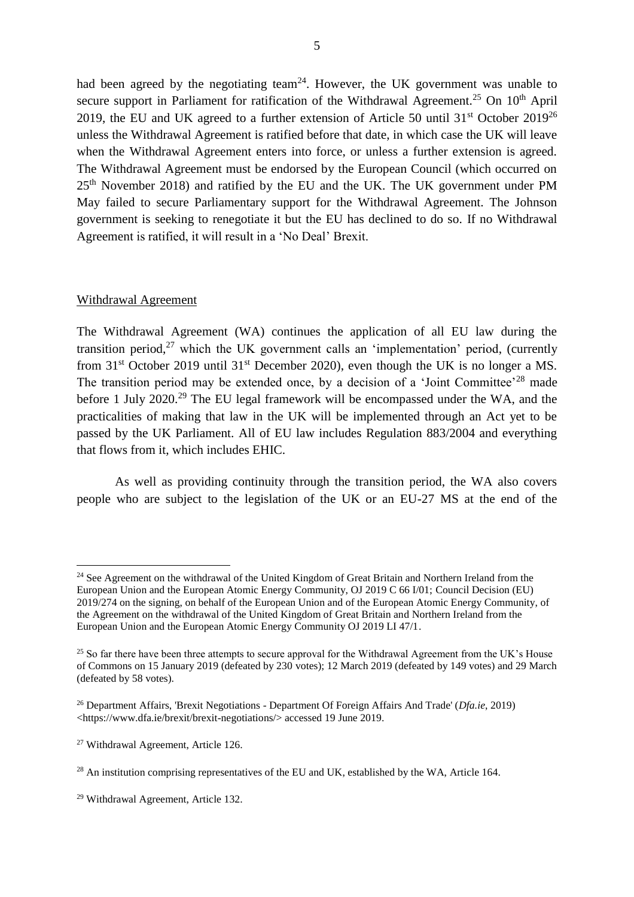had been agreed by the negotiating team<sup>24</sup>. However, the UK government was unable to secure support in Parliament for ratification of the Withdrawal Agreement.<sup>25</sup> On  $10<sup>th</sup>$  April 2019, the EU and UK agreed to a further extension of Article 50 until  $31<sup>st</sup>$  October 2019<sup>26</sup> unless the Withdrawal Agreement is ratified before that date, in which case the UK will leave when the Withdrawal Agreement enters into force, or unless a further extension is agreed. The Withdrawal Agreement must be endorsed by the European Council (which occurred on 25th November 2018) and ratified by the EU and the UK. The UK government under PM May failed to secure Parliamentary support for the Withdrawal Agreement. The Johnson government is seeking to renegotiate it but the EU has declined to do so. If no Withdrawal Agreement is ratified, it will result in a 'No Deal' Brexit.

#### Withdrawal Agreement

 $\overline{a}$ 

The Withdrawal Agreement (WA) continues the application of all EU law during the transition period,<sup>27</sup> which the UK government calls an 'implementation' period, (currently from  $31<sup>st</sup>$  October 2019 until  $31<sup>st</sup>$  December 2020), even though the UK is no longer a MS. The transition period may be extended once, by a decision of a 'Joint Committee'<sup>28</sup> made before 1 July 2020.<sup>29</sup> The EU legal framework will be encompassed under the WA, and the practicalities of making that law in the UK will be implemented through an Act yet to be passed by the UK Parliament. All of EU law includes Regulation 883/2004 and everything that flows from it, which includes EHIC.

As well as providing continuity through the transition period, the WA also covers people who are subject to the legislation of the UK or an EU-27 MS at the end of the

<sup>&</sup>lt;sup>24</sup> See Agreement on the withdrawal of the United Kingdom of Great Britain and Northern Ireland from the European Union and the European Atomic Energy Community, OJ 2019 C 66 I/01; Council Decision (EU) 2019/274 on the signing, on behalf of the European Union and of the European Atomic Energy Community, of the Agreement on the withdrawal of the United Kingdom of Great Britain and Northern Ireland from the European Union and the European Atomic Energy Community OJ 2019 LI 47/1.

<sup>&</sup>lt;sup>25</sup> So far there have been three attempts to secure approval for the Withdrawal Agreement from the UK's House of Commons on 15 January 2019 (defeated by 230 votes); 12 March 2019 (defeated by 149 votes) and 29 March (defeated by 58 votes).

<sup>26</sup> Department Affairs, 'Brexit Negotiations - Department Of Foreign Affairs And Trade' (*Dfa.ie*, 2019) <https://www.dfa.ie/brexit/brexit-negotiations/> accessed 19 June 2019.

<sup>27</sup> Withdrawal Agreement, Article 126.

<sup>&</sup>lt;sup>28</sup> An institution comprising representatives of the EU and UK, established by the WA, Article 164.

<sup>29</sup> Withdrawal Agreement, Article 132.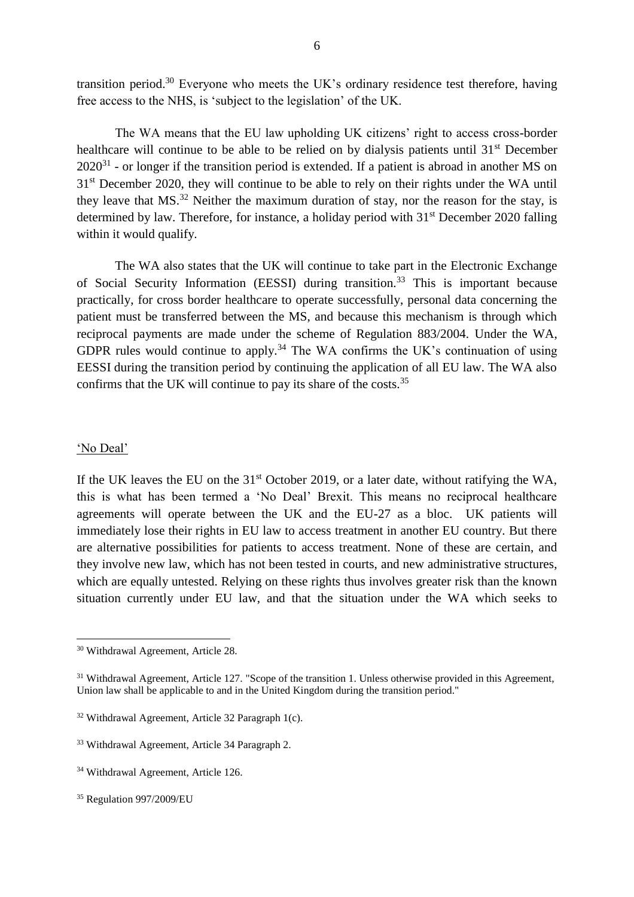transition period.<sup>30</sup> Everyone who meets the UK's ordinary residence test therefore, having free access to the NHS, is 'subject to the legislation' of the UK.

The WA means that the EU law upholding UK citizens' right to access cross-border healthcare will continue to be able to be relied on by dialysis patients until 31<sup>st</sup> December  $2020^{31}$  - or longer if the transition period is extended. If a patient is abroad in another MS on 31<sup>st</sup> December 2020, they will continue to be able to rely on their rights under the WA until they leave that  $MS<sup>32</sup>$  Neither the maximum duration of stay, nor the reason for the stay, is determined by law. Therefore, for instance, a holiday period with  $31<sup>st</sup>$  December 2020 falling within it would qualify.

The WA also states that the UK will continue to take part in the Electronic Exchange of Social Security Information (EESSI) during transition.<sup>33</sup> This is important because practically, for cross border healthcare to operate successfully, personal data concerning the patient must be transferred between the MS, and because this mechanism is through which reciprocal payments are made under the scheme of Regulation 883/2004. Under the WA, GDPR rules would continue to apply.<sup>34</sup> The WA confirms the UK's continuation of using EESSI during the transition period by continuing the application of all EU law. The WA also confirms that the UK will continue to pay its share of the costs.<sup>35</sup>

#### 'No Deal'

 $\overline{a}$ 

If the UK leaves the EU on the  $31<sup>st</sup>$  October 2019, or a later date, without ratifying the WA, this is what has been termed a 'No Deal' Brexit. This means no reciprocal healthcare agreements will operate between the UK and the EU-27 as a bloc. UK patients will immediately lose their rights in EU law to access treatment in another EU country. But there are alternative possibilities for patients to access treatment. None of these are certain, and they involve new law, which has not been tested in courts, and new administrative structures, which are equally untested. Relying on these rights thus involves greater risk than the known situation currently under EU law, and that the situation under the WA which seeks to

<sup>30</sup> Withdrawal Agreement, Article 28.

<sup>&</sup>lt;sup>31</sup> Withdrawal Agreement, Article 127. "Scope of the transition 1. Unless otherwise provided in this Agreement, Union law shall be applicable to and in the United Kingdom during the transition period."

 $32$  Withdrawal Agreement, Article 32 Paragraph 1(c).

<sup>33</sup> Withdrawal Agreement, Article 34 Paragraph 2.

<sup>34</sup> Withdrawal Agreement, Article 126.

<sup>35</sup> Regulation 997/2009/EU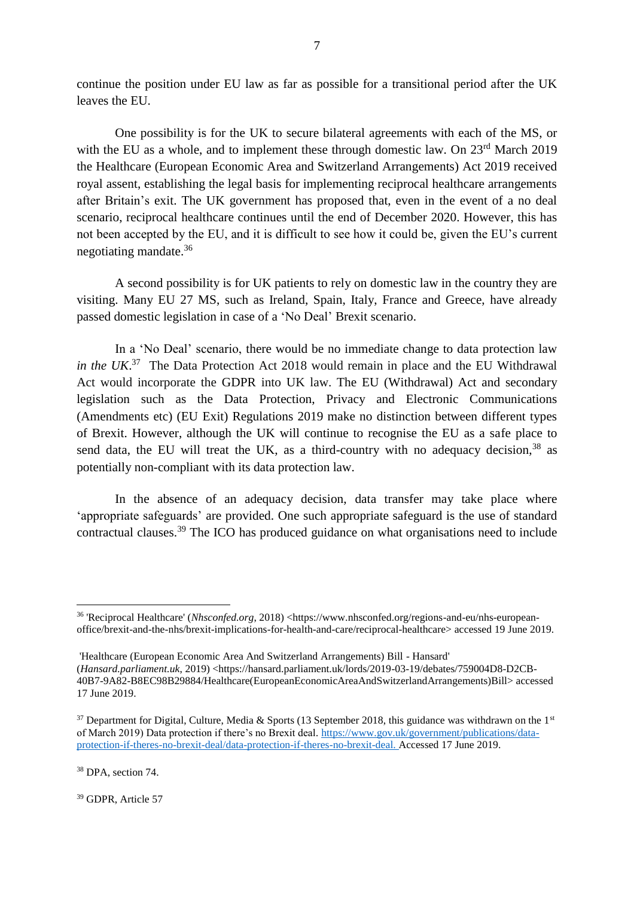continue the position under EU law as far as possible for a transitional period after the UK leaves the EU.

7

One possibility is for the UK to secure bilateral agreements with each of the MS, or with the EU as a whole, and to implement these through domestic law. On 23<sup>rd</sup> March 2019 the Healthcare (European Economic Area and Switzerland Arrangements) Act 2019 received royal assent, establishing the legal basis for implementing reciprocal healthcare arrangements after Britain's exit. The UK government has proposed that, even in the event of a no deal scenario, reciprocal healthcare continues until the end of December 2020. However, this has not been accepted by the EU, and it is difficult to see how it could be, given the EU's current negotiating mandate.<sup>36</sup>

A second possibility is for UK patients to rely on domestic law in the country they are visiting. Many EU 27 MS, such as Ireland, Spain, Italy, France and Greece, have already passed domestic legislation in case of a 'No Deal' Brexit scenario.

In a 'No Deal' scenario, there would be no immediate change to data protection law *in the UK*. <sup>37</sup> The Data Protection Act 2018 would remain in place and the EU Withdrawal Act would incorporate the GDPR into UK law. The EU (Withdrawal) Act and secondary legislation such as the Data Protection, Privacy and Electronic Communications (Amendments etc) (EU Exit) Regulations 2019 make no distinction between different types of Brexit. However, although the UK will continue to recognise the EU as a safe place to send data, the EU will treat the UK, as a third-country with no adequacy decision,  $38$  as potentially non-compliant with its data protection law.

In the absence of an adequacy decision, data transfer may take place where 'appropriate safeguards' are provided. One such appropriate safeguard is the use of standard contractual clauses.<sup>39</sup> The ICO has produced guidance on what organisations need to include

 $\overline{a}$ 

<sup>39</sup> GDPR, Article 57

<sup>36</sup> 'Reciprocal Healthcare' (*Nhsconfed.org*, 2018) <https://www.nhsconfed.org/regions-and-eu/nhs-europeanoffice/brexit-and-the-nhs/brexit-implications-for-health-and-care/reciprocal-healthcare> accessed 19 June 2019.

<sup>&#</sup>x27;Healthcare (European Economic Area And Switzerland Arrangements) Bill - Hansard' (*Hansard.parliament.uk*, 2019) <https://hansard.parliament.uk/lords/2019-03-19/debates/759004D8-D2CB-40B7-9A82-B8EC98B29884/Healthcare(EuropeanEconomicAreaAndSwitzerlandArrangements)Bill> accessed 17 June 2019.

 $37$  Department for Digital, Culture, Media & Sports (13 September 2018, this guidance was withdrawn on the 1st of March 2019) Data protection if there's no Brexit deal*.* [https://www.gov.uk/government/publications/data](https://www.gov.uk/government/publications/data-protection-if-theres-no-brexit-deal/data-protection-if-theres-no-brexit-deal)[protection-if-theres-no-brexit-deal/data-protection-if-theres-no-brexit-deal.](https://www.gov.uk/government/publications/data-protection-if-theres-no-brexit-deal/data-protection-if-theres-no-brexit-deal) Accessed 17 June 2019.

<sup>&</sup>lt;sup>38</sup> DPA, section 74.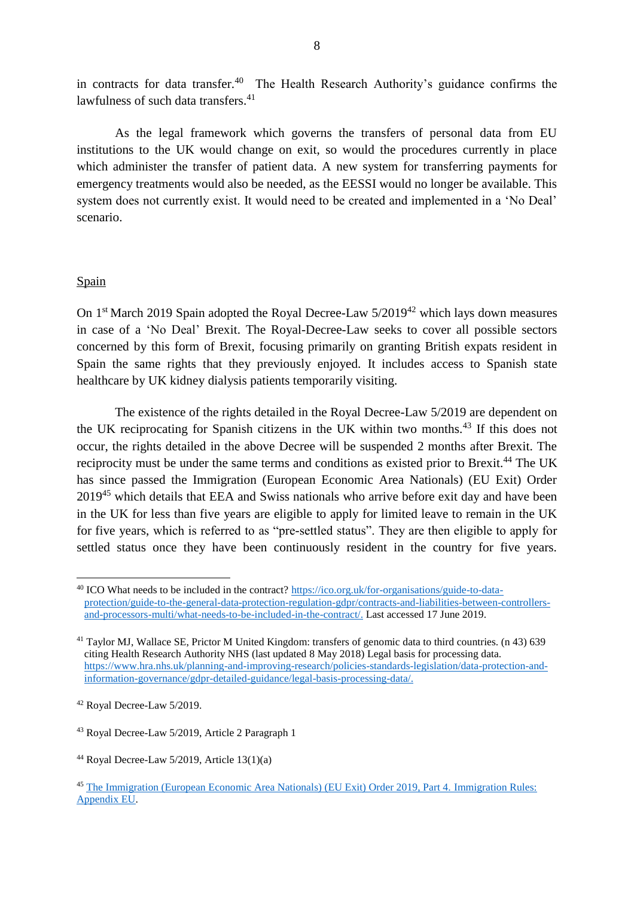in contracts for data transfer.<sup>40</sup> The Health Research Authority's guidance confirms the lawfulness of such data transfers.<sup>41</sup>

As the legal framework which governs the transfers of personal data from EU institutions to the UK would change on exit, so would the procedures currently in place which administer the transfer of patient data. A new system for transferring payments for emergency treatments would also be needed, as the EESSI would no longer be available. This system does not currently exist. It would need to be created and implemented in a 'No Deal' scenario.

## Spain

 $\overline{a}$ 

On 1<sup>st</sup> March 2019 Spain adopted the Royal Decree-Law 5/2019<sup>42</sup> which lays down measures in case of a 'No Deal' Brexit. The Royal-Decree-Law seeks to cover all possible sectors concerned by this form of Brexit, focusing primarily on granting British expats resident in Spain the same rights that they previously enjoyed. It includes access to Spanish state healthcare by UK kidney dialysis patients temporarily visiting.

The existence of the rights detailed in the Royal Decree-Law 5/2019 are dependent on the UK reciprocating for Spanish citizens in the UK within two months.<sup>43</sup> If this does not occur, the rights detailed in the above Decree will be suspended 2 months after Brexit. The reciprocity must be under the same terms and conditions as existed prior to Brexit.<sup>44</sup> The UK has since passed the Immigration (European Economic Area Nationals) (EU Exit) Order 2019<sup>45</sup> which details that EEA and Swiss nationals who arrive before exit day and have been in the UK for less than five years are eligible to apply for limited leave to remain in the UK for five years, which is referred to as "pre-settled status". They are then eligible to apply for settled status once they have been continuously resident in the country for five years.

<sup>40</sup> ICO What needs to be included in the contract? [https://ico.org.uk/for-organisations/guide-to-data](https://ico.org.uk/for-organisations/guide-to-data-protection/guide-to-the-general-data-protection-regulation-gdpr/contracts-and-liabilities-between-controllers-and-processors-multi/what-needs-to-be-included-in-the-contract/)[protection/guide-to-the-general-data-protection-regulation-gdpr/contracts-and-liabilities-between-controllers](https://ico.org.uk/for-organisations/guide-to-data-protection/guide-to-the-general-data-protection-regulation-gdpr/contracts-and-liabilities-between-controllers-and-processors-multi/what-needs-to-be-included-in-the-contract/)[and-processors-multi/what-needs-to-be-included-in-the-contract/.](https://ico.org.uk/for-organisations/guide-to-data-protection/guide-to-the-general-data-protection-regulation-gdpr/contracts-and-liabilities-between-controllers-and-processors-multi/what-needs-to-be-included-in-the-contract/) Last accessed 17 June 2019.

<sup>&</sup>lt;sup>41</sup> Taylor MJ, Wallace SE, Prictor M United Kingdom: transfers of genomic data to third countries. (n 43) 639 citing Health Research Authority NHS (last updated 8 May 2018) Legal basis for processing data. [https://www.hra.nhs.uk/planning-and-improving-research/policies-standards-legislation/data-protection-and](https://www.hra.nhs.uk/planning-and-improving-research/policies-standards-legislation/data-protection-and-information-governance/gdpr-detailed-guidance/legal-basis-processing-data/)[information-governance/gdpr-detailed-guidance/legal-basis-processing-data/.](https://www.hra.nhs.uk/planning-and-improving-research/policies-standards-legislation/data-protection-and-information-governance/gdpr-detailed-guidance/legal-basis-processing-data/)

<sup>42</sup> Royal Decree-Law 5/2019.

<sup>43</sup> Royal Decree-Law 5/2019, Article 2 Paragraph 1

<sup>&</sup>lt;sup>44</sup> Royal Decree-Law  $5/2019$ , Article  $13(1)(a)$ 

<sup>45</sup> [The Immigration \(European Economic Area Nationals\) \(EU Exit\) Order 2019, Part 4.](http://www.legislation.gov.uk/uksi/2019/686/contents/made) [Immigration Rules:](https://www.gov.uk/guidance/immigration-rules/immigration-rules-appendix-eu)  [Appendix EU.](https://www.gov.uk/guidance/immigration-rules/immigration-rules-appendix-eu)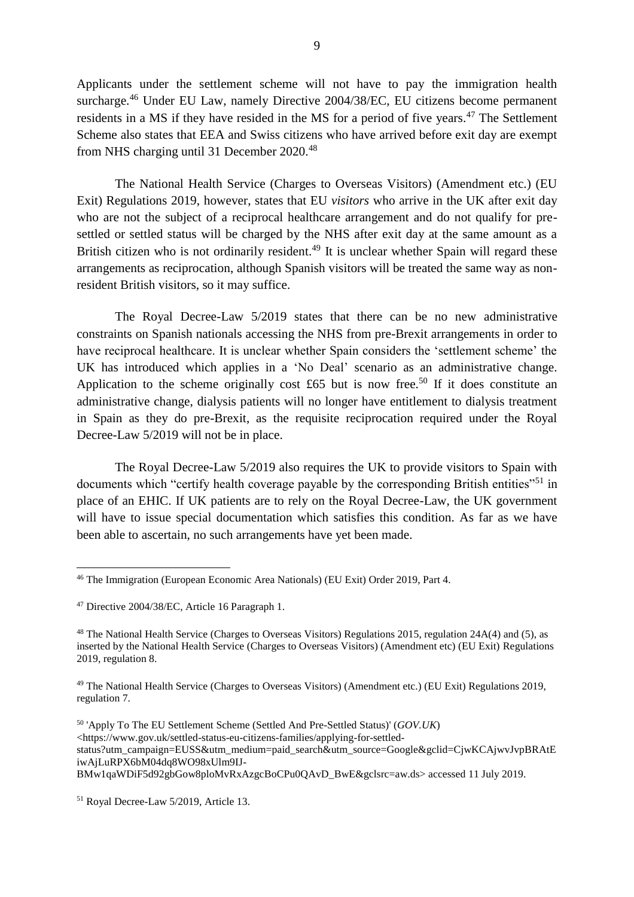Applicants under the settlement scheme will not have to pay the immigration health surcharge.<sup>46</sup> Under EU Law, namely Directive 2004/38/EC, EU citizens become permanent residents in a MS if they have resided in the MS for a period of five years.<sup>47</sup> The Settlement Scheme also states that EEA and Swiss citizens who have arrived before exit day are exempt from NHS charging until 31 December 2020.<sup>48</sup>

The National Health Service (Charges to Overseas Visitors) (Amendment etc.) (EU Exit) Regulations 2019, however, states that EU *visitors* who arrive in the UK after exit day who are not the subject of a reciprocal healthcare arrangement and do not qualify for presettled or settled status will be charged by the NHS after exit day at the same amount as a British citizen who is not ordinarily resident.<sup>49</sup> It is unclear whether Spain will regard these arrangements as reciprocation, although Spanish visitors will be treated the same way as nonresident British visitors, so it may suffice.

The Royal Decree-Law 5/2019 states that there can be no new administrative constraints on Spanish nationals accessing the NHS from pre-Brexit arrangements in order to have reciprocal healthcare. It is unclear whether Spain considers the 'settlement scheme' the UK has introduced which applies in a 'No Deal' scenario as an administrative change. Application to the scheme originally cost £65 but is now free.<sup>50</sup> If it does constitute an administrative change, dialysis patients will no longer have entitlement to dialysis treatment in Spain as they do pre-Brexit, as the requisite reciprocation required under the Royal Decree-Law 5/2019 will not be in place.

The Royal Decree-Law 5/2019 also requires the UK to provide visitors to Spain with documents which "certify health coverage payable by the corresponding British entities"<sup>51</sup> in place of an EHIC. If UK patients are to rely on the Royal Decree-Law, the UK government will have to issue special documentation which satisfies this condition. As far as we have been able to ascertain, no such arrangements have yet been made.

 $\overline{a}$ 

<sup>46</sup> [The Immigration \(European Economic Area Nationals\) \(EU Exit\) Order 2019, Part 4.](http://www.legislation.gov.uk/uksi/2019/686/contents/made)

<sup>47</sup> Directive 2004/38/EC, Article 16 Paragraph 1.

<sup>48</sup> The National Health Service (Charges to Overseas Visitors) Regulations 2015, regulation 24A(4) and (5), as inserted by the National Health Service (Charges to Overseas Visitors) (Amendment etc) (EU Exit) Regulations 2019, regulation 8.

<sup>49</sup> [The National Health Service \(Charges to Overseas Visitors\) \(Amendment etc.\) \(EU Exit\) Regulations 2019,](http://www.legislation.gov.uk/uksi/2019/516/made)  [regulation 7.](http://www.legislation.gov.uk/uksi/2019/516/made)

<sup>50</sup> 'Apply To The EU Settlement Scheme (Settled And Pre-Settled Status)' (*GOV.UK*) <https://www.gov.uk/settled-status-eu-citizens-families/applying-for-settledstatus?utm\_campaign=EUSS&utm\_medium=paid\_search&utm\_source=Google&gclid=CjwKCAjwvJvpBRAtE iwAjLuRPX6bM04dq8WO98xUlm9IJ-

BMw1qaWDiF5d92gbGow8ploMvRxAzgcBoCPu0QAvD\_BwE&gclsrc=aw.ds> accessed 11 July 2019.

<sup>51</sup> Royal Decree-Law 5/2019, Article 13.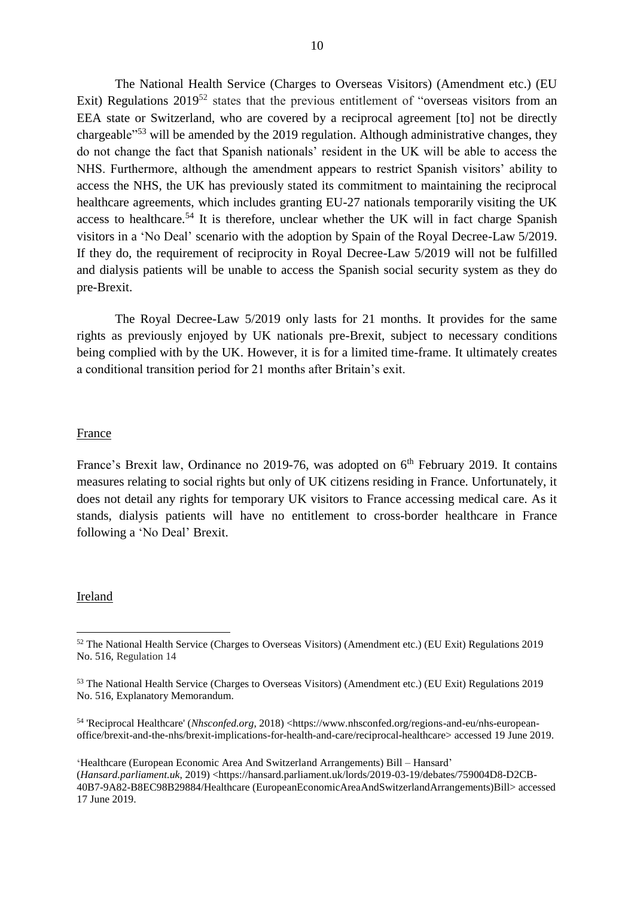The National Health Service (Charges to Overseas Visitors) (Amendment etc.) (EU Exit) Regulations  $2019^{52}$  states that the previous entitlement of "overseas visitors from an EEA state or Switzerland, who are covered by a reciprocal agreement [to] not be directly chargeable"<sup>53</sup> will be amended by the 2019 regulation. Although administrative changes, they do not change the fact that Spanish nationals' resident in the UK will be able to access the NHS. Furthermore, although the amendment appears to restrict Spanish visitors' ability to access the NHS, the UK has previously stated its commitment to maintaining the reciprocal healthcare agreements, which includes granting EU-27 nationals temporarily visiting the UK access to healthcare.<sup>54</sup> It is therefore, unclear whether the UK will in fact charge Spanish visitors in a 'No Deal' scenario with the adoption by Spain of the Royal Decree-Law 5/2019. If they do, the requirement of reciprocity in Royal Decree-Law 5/2019 will not be fulfilled and dialysis patients will be unable to access the Spanish social security system as they do pre-Brexit.

The Royal Decree-Law 5/2019 only lasts for 21 months. It provides for the same rights as previously enjoyed by UK nationals pre-Brexit, subject to necessary conditions being complied with by the UK. However, it is for a limited time-frame. It ultimately creates a conditional transition period for 21 months after Britain's exit.

#### **France**

France's Brexit law, Ordinance no 2019-76, was adopted on  $6<sup>th</sup>$  February 2019. It contains measures relating to social rights but only of UK citizens residing in France. Unfortunately, it does not detail any rights for temporary UK visitors to France accessing medical care. As it stands, dialysis patients will have no entitlement to cross-border healthcare in France following a 'No Deal' Brexit.

#### **Ireland**

 $\overline{a}$ 

**'**Healthcare (European Economic Area And Switzerland Arrangements) Bill – Hansard' (*Hansard.parliament.uk*, 2019) <https://hansard.parliament.uk/lords/2019-03-19/debates/759004D8-D2CB-40B7-9A82-B8EC98B29884/Healthcare (EuropeanEconomicAreaAndSwitzerlandArrangements)Bill> accessed 17 June 2019.

<sup>52</sup> The National Health Service (Charges to Overseas Visitors) (Amendment etc.) (EU Exit) Regulations 2019 No. 516, Regulation 14

<sup>53</sup> The National Health Service (Charges to Overseas Visitors) (Amendment etc.) (EU Exit) Regulations 2019 No. 516, Explanatory Memorandum.

<sup>54 &#</sup>x27;Reciprocal Healthcare' (*Nhsconfed.org*, 2018) <https://www.nhsconfed.org/regions-and-eu/nhs-europeanoffice/brexit-and-the-nhs/brexit-implications-for-health-and-care/reciprocal-healthcare> accessed 19 June 2019.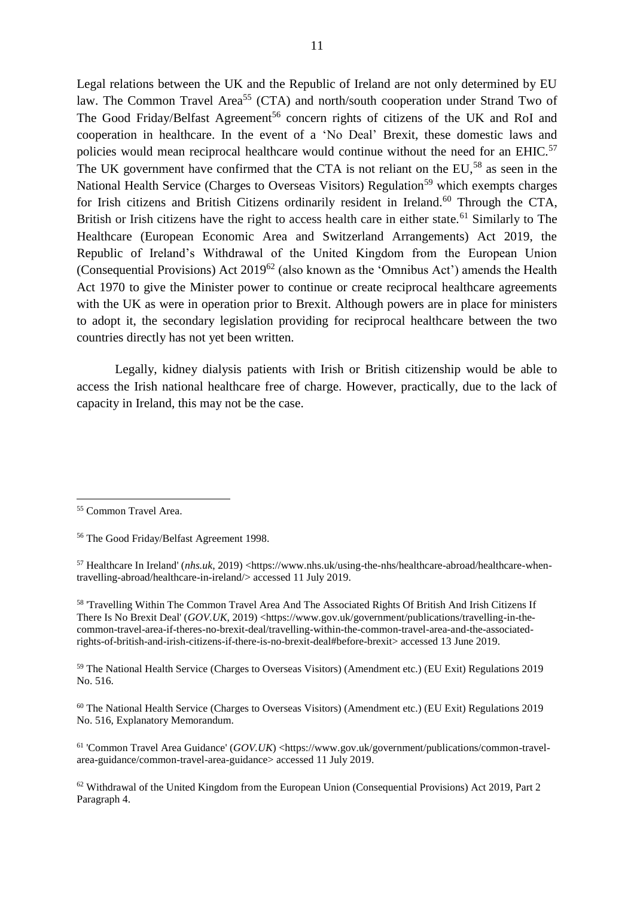Legal relations between the UK and the Republic of Ireland are not only determined by EU law. The Common Travel Area<sup>55</sup> (CTA) and north/south cooperation under Strand Two of The Good Friday/Belfast Agreement<sup>56</sup> concern rights of citizens of the UK and RoI and cooperation in healthcare. In the event of a 'No Deal' Brexit, these domestic laws and policies would mean reciprocal healthcare would continue without the need for an EHIC.<sup>57</sup> The UK government have confirmed that the CTA is not reliant on the  $EU^{58}$  as seen in the National Health Service (Charges to Overseas Visitors) Regulation<sup>59</sup> which exempts charges for Irish citizens and British Citizens ordinarily resident in Ireland.<sup>60</sup> Through the CTA, British or Irish citizens have the right to access health care in either state.<sup>61</sup> Similarly to The Healthcare (European Economic Area and Switzerland Arrangements) Act 2019, the Republic of Ireland's Withdrawal of the United Kingdom from the European Union (Consequential Provisions) Act  $2019^{62}$  (also known as the 'Omnibus Act') amends the Health Act 1970 to give the Minister power to continue or create reciprocal healthcare agreements with the UK as were in operation prior to Brexit. Although powers are in place for ministers to adopt it, the secondary legislation providing for reciprocal healthcare between the two countries directly has not yet been written.

Legally, kidney dialysis patients with Irish or British citizenship would be able to access the Irish national healthcare free of charge. However, practically, due to the lack of capacity in Ireland, this may not be the case.

 $\overline{a}$ 

<sup>58</sup> 'Travelling Within The Common Travel Area And The Associated Rights Of British And Irish Citizens If There Is No Brexit Deal' (*GOV.UK*, 2019) <https://www.gov.uk/government/publications/travelling-in-thecommon-travel-area-if-theres-no-brexit-deal/travelling-within-the-common-travel-area-and-the-associatedrights-of-british-and-irish-citizens-if-there-is-no-brexit-deal#before-brexit> accessed 13 June 2019.

<sup>59</sup> The National Health Service (Charges to Overseas Visitors) (Amendment etc.) (EU Exit) Regulations 2019 No. 516.

<sup>60</sup> The National Health Service (Charges to Overseas Visitors) (Amendment etc.) (EU Exit) Regulations 2019 No. 516, Explanatory Memorandum.

<sup>61</sup> 'Common Travel Area Guidance' (*GOV.UK*) <https://www.gov.uk/government/publications/common-travelarea-guidance/common-travel-area-guidance> accessed 11 July 2019.

<sup>62</sup> Withdrawal of the United Kingdom from the European Union (Consequential Provisions) Act 2019, Part 2 Paragraph 4.

<sup>55</sup> Common Travel Area.

<sup>56</sup> The Good Friday/Belfast Agreement 1998.

<sup>57</sup> Healthcare In Ireland' (*nhs.uk*, 2019) <https://www.nhs.uk/using-the-nhs/healthcare-abroad/healthcare-whentravelling-abroad/healthcare-in-ireland/> accessed 11 July 2019.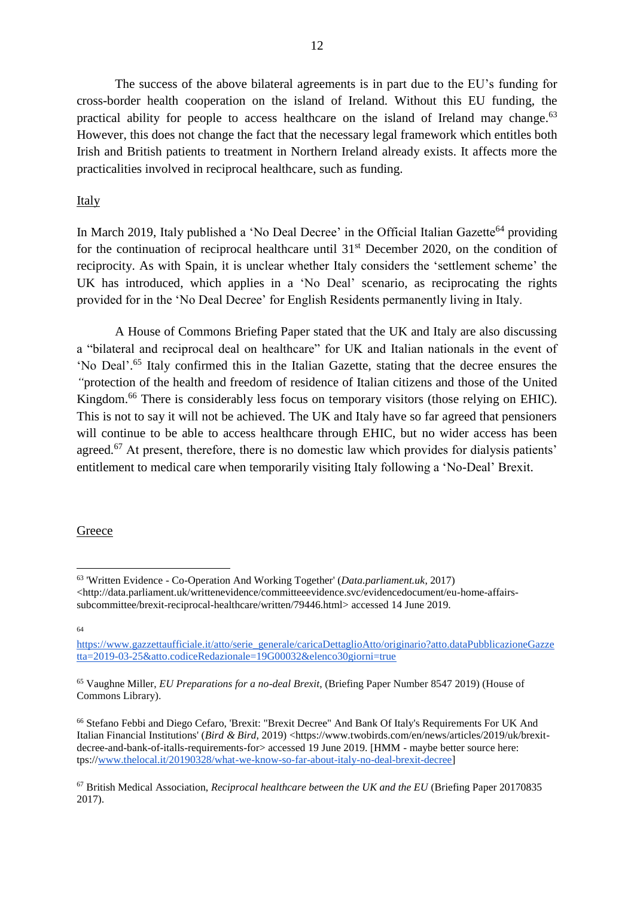The success of the above bilateral agreements is in part due to the EU's funding for cross-border health cooperation on the island of Ireland. Without this EU funding, the practical ability for people to access healthcare on the island of Ireland may change.<sup>63</sup> However, this does not change the fact that the necessary legal framework which entitles both Irish and British patients to treatment in Northern Ireland already exists. It affects more the practicalities involved in reciprocal healthcare, such as funding.

## Italy

In March 2019, Italy published a 'No Deal Decree' in the Official Italian Gazette<sup>64</sup> providing for the continuation of reciprocal healthcare until  $31<sup>st</sup>$  December 2020, on the condition of reciprocity. As with Spain, it is unclear whether Italy considers the 'settlement scheme' the UK has introduced, which applies in a 'No Deal' scenario, as reciprocating the rights provided for in the 'No Deal Decree' for English Residents permanently living in Italy.

A House of Commons Briefing Paper stated that the UK and Italy are also discussing a "bilateral and reciprocal deal on healthcare" for UK and Italian nationals in the event of 'No Deal'. <sup>65</sup> Italy confirmed this in the Italian Gazette, stating that the decree ensures the *"*protection of the health and freedom of residence of Italian citizens and those of the United Kingdom.<sup>66</sup> There is considerably less focus on temporary visitors (those relying on EHIC). This is not to say it will not be achieved. The UK and Italy have so far agreed that pensioners will continue to be able to access healthcare through EHIC, but no wider access has been agreed.<sup>67</sup> At present, therefore, there is no domestic law which provides for dialysis patients' entitlement to medical care when temporarily visiting Italy following a 'No-Deal' Brexit.

## **Greece**

64

 $\overline{a}$ 

<sup>63</sup> 'Written Evidence - Co-Operation And Working Together' (*Data.parliament.uk*, 2017) <http://data.parliament.uk/writtenevidence/committeeevidence.svc/evidencedocument/eu-home-affairssubcommittee/brexit-reciprocal-healthcare/written/79446.html> accessed 14 June 2019.

[https://www.gazzettaufficiale.it/atto/serie\\_generale/caricaDettaglioAtto/originario?atto.dataPubblicazioneGazze](https://www.gazzettaufficiale.it/atto/serie_generale/caricaDettaglioAtto/originario?atto.dataPubblicazioneGazzetta=2019-03-25&atto.codiceRedazionale=19G00032&elenco30giorni=true) [tta=2019-03-25&atto.codiceRedazionale=19G00032&elenco30giorni=true](https://www.gazzettaufficiale.it/atto/serie_generale/caricaDettaglioAtto/originario?atto.dataPubblicazioneGazzetta=2019-03-25&atto.codiceRedazionale=19G00032&elenco30giorni=true)

<sup>65</sup> Vaughne Miller, *EU Preparations for a no-deal Brexit*, (Briefing Paper Number 8547 2019) (House of Commons Library).

<sup>66</sup> Stefano Febbi and Diego Cefaro, 'Brexit: "Brexit Decree" And Bank Of Italy's Requirements For UK And Italian Financial Institutions' (*Bird & Bird*, 2019) <https://www.twobirds.com/en/news/articles/2019/uk/brexitdecree-and-bank-of-italls-requirements-for> accessed 19 June 2019. [HMM - maybe better source here: tps:/[/www.thelocal.it/20190328/what-we-know-so-far-about-italy-no-deal-brexit-decree\]](http://www.thelocal.it/20190328/what-we-know-so-far-about-italy-no-deal-brexit-decree)

<sup>67</sup> British Medical Association, *Reciprocal healthcare between the UK and the EU* (Briefing Paper 20170835 2017).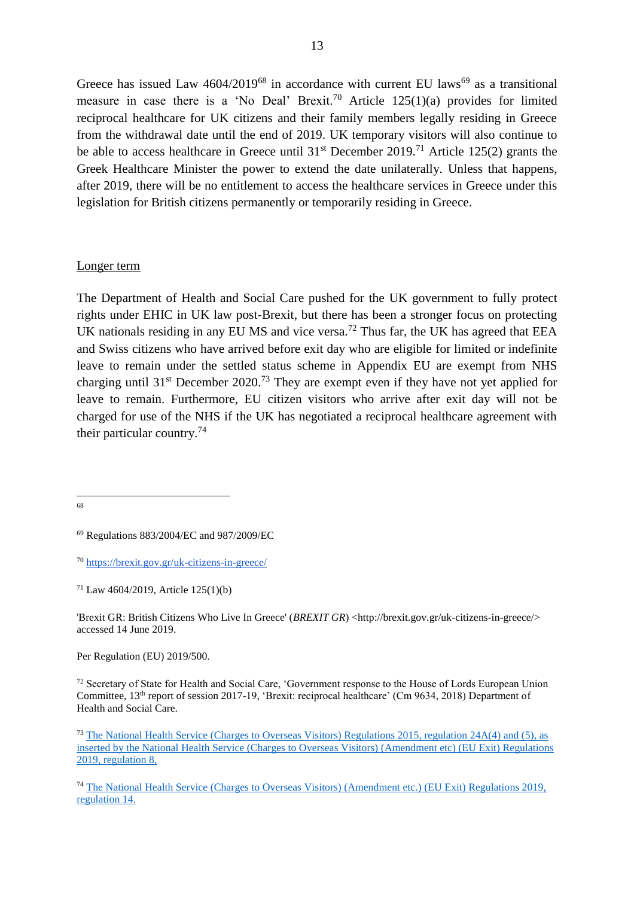Greece has issued Law  $4604/2019^{68}$  in accordance with current EU laws<sup>69</sup> as a transitional measure in case there is a 'No Deal' Brexit.<sup>70</sup> Article  $125(1)(a)$  provides for limited reciprocal healthcare for UK citizens and their family members legally residing in Greece from the withdrawal date until the end of 2019. UK temporary visitors will also continue to be able to access healthcare in Greece until  $31<sup>st</sup>$  December 2019.<sup>71</sup> Article 125(2) grants the Greek Healthcare Minister the power to extend the date unilaterally. Unless that happens, after 2019, there will be no entitlement to access the healthcare services in Greece under this legislation for British citizens permanently or temporarily residing in Greece.

## Longer term

The Department of Health and Social Care pushed for the UK government to fully protect rights under EHIC in UK law post-Brexit, but there has been a stronger focus on protecting UK nationals residing in any EU MS and vice versa.<sup>72</sup> Thus far, the UK has agreed that EEA and Swiss citizens who have arrived before exit day who are eligible for limited or indefinite leave to remain under the settled status scheme in Appendix EU are exempt from NHS charging until  $31<sup>st</sup>$  December 2020.<sup>73</sup> They are exempt even if they have not yet applied for leave to remain. Furthermore, EU citizen visitors who arrive after exit day will not be charged for use of the NHS if the UK has negotiated a reciprocal healthcare agreement with their particular country.<sup>74</sup>

'Brexit GR: British Citizens Who Live In Greece' (*BREXIT GR*) <http://brexit.gov.gr/uk-citizens-in-greece/> accessed 14 June 2019.

Per Regulation (EU) 2019/500.

<sup>72</sup> Secretary of State for Health and Social Care, 'Government response to the House of Lords European Union Committee, 13th report of session 2017-19, 'Brexit: reciprocal healthcare' (Cm 9634, 2018) Department of Health and Social Care.

 68

<sup>69</sup> Regulations 883/2004/EC and 987/2009/EC

<sup>70</sup> <https://brexit.gov.gr/uk-citizens-in-greece/>

<sup>71</sup> Law 4604/2019, Article 125(1)(b)

<sup>73</sup> [The National Health Service \(Charges to Overseas Visitors\) Regulations 2015, regulation 24A\(4\) and \(5\), as](http://www.legislation.gov.uk/uksi/2019/516/made)  [inserted by the National Health Service \(Charges to Overseas Visitors\) \(Amendment etc\) \(EU Exit\) Regulations](http://www.legislation.gov.uk/uksi/2019/516/made)  [2019, regulation 8,](http://www.legislation.gov.uk/uksi/2019/516/made)

<sup>74</sup> [The National Health Service \(Charges to Overseas Visitors\) \(Amendment etc.\) \(EU Exit\) Regulations 2019,](http://www.legislation.gov.uk/uksi/2019/516/made)  [regulation 14.](http://www.legislation.gov.uk/uksi/2019/516/made)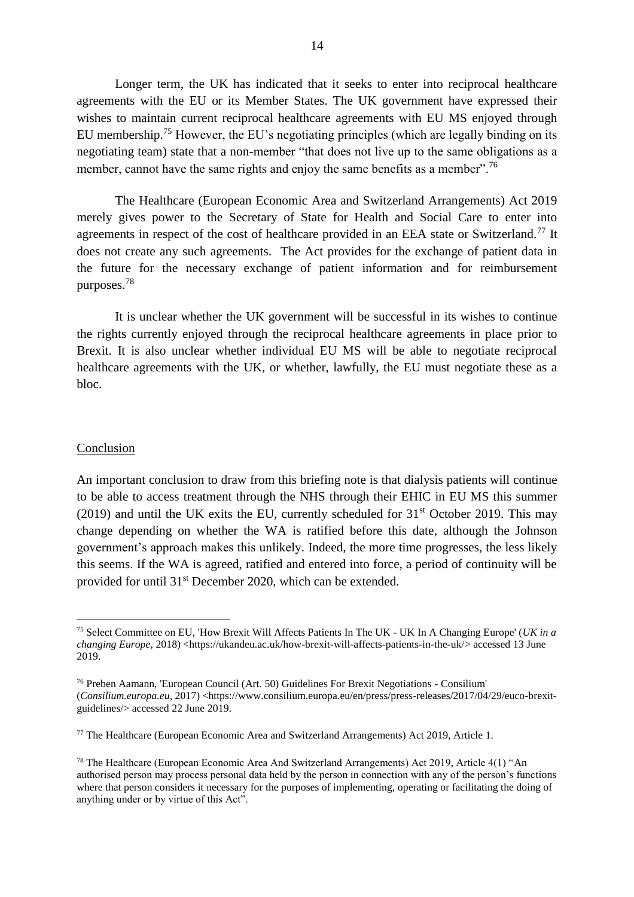Longer term, the UK has indicated that it seeks to enter into reciprocal healthcare agreements with the EU or its Member States. The UK government have expressed their wishes to maintain current reciprocal healthcare agreements with EU MS enjoyed through EU membership.<sup>75</sup> However, the EU's negotiating principles (which are legally binding on its negotiating team) state that a non-member "that does not live up to the same obligations as a member, cannot have the same rights and enjoy the same benefits as a member".<sup>76</sup>

The Healthcare (European Economic Area and Switzerland Arrangements) Act 2019 merely gives power to the Secretary of State for Health and Social Care to enter into agreements in respect of the cost of healthcare provided in an EEA state or Switzerland.<sup>77</sup> It does not create any such agreements. The Act provides for the exchange of patient data in the future for the necessary exchange of patient information and for reimbursement purposes.<sup>78</sup>

It is unclear whether the UK government will be successful in its wishes to continue the rights currently enjoyed through the reciprocal healthcare agreements in place prior to Brexit. It is also unclear whether individual EU MS will be able to negotiate reciprocal healthcare agreements with the UK, or whether, lawfully, the EU must negotiate these as a bloc.

#### Conclusion

 $\overline{a}$ 

An important conclusion to draw from this briefing note is that dialysis patients will continue to be able to access treatment through the NHS through their EHIC in EU MS this summer (2019) and until the UK exits the EU, currently scheduled for  $31<sup>st</sup>$  October 2019. This may change depending on whether the WA is ratified before this date, although the Johnson government's approach makes this unlikely. Indeed, the more time progresses, the less likely this seems. If the WA is agreed, ratified and entered into force, a period of continuity will be provided for until 31<sup>st</sup> December 2020, which can be extended.

<sup>75</sup> Select Committee on EU, 'How Brexit Will Affects Patients In The UK - UK In A Changing Europe' (*UK in a changing Europe*, 2018) <https://ukandeu.ac.uk/how-brexit-will-affects-patients-in-the-uk/> accessed 13 June 2019.

<sup>76</sup> Preben Aamann, 'European Council (Art. 50) Guidelines For Brexit Negotiations - Consilium' (*Consilium.europa.eu*, 2017) <https://www.consilium.europa.eu/en/press/press-releases/2017/04/29/euco-brexitguidelines/> accessed 22 June 2019.

<sup>77</sup> The Healthcare (European Economic Area and Switzerland Arrangements) Act 2019, Article 1.

<sup>78</sup> The Healthcare (European Economic Area And Switzerland Arrangements) Act 2019, Article 4(1) "An authorised person may process personal data held by the person in connection with any of the person's functions where that person considers it necessary for the purposes of implementing, operating or facilitating the doing of anything under or by virtue of this Act".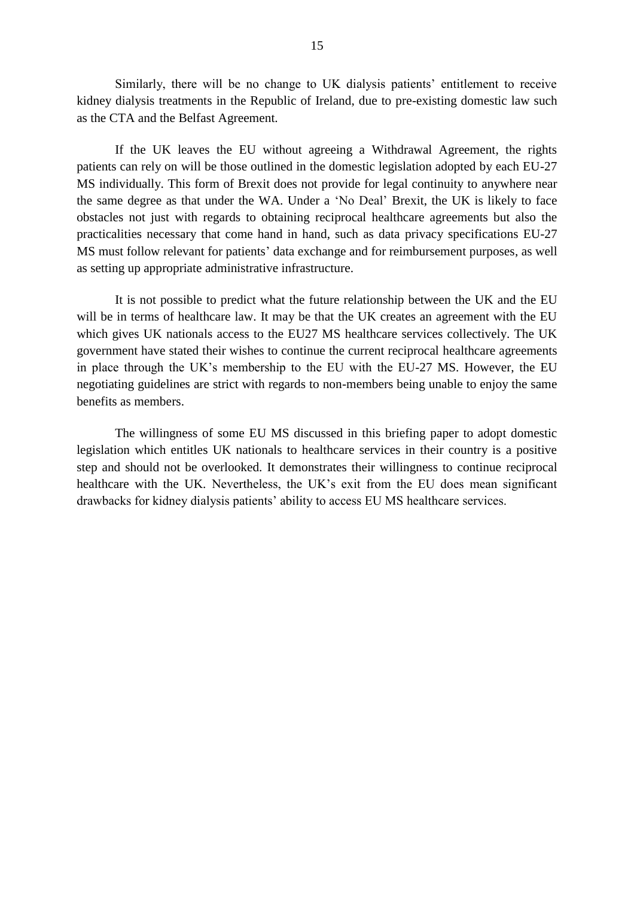Similarly, there will be no change to UK dialysis patients' entitlement to receive kidney dialysis treatments in the Republic of Ireland, due to pre-existing domestic law such as the CTA and the Belfast Agreement.

If the UK leaves the EU without agreeing a Withdrawal Agreement, the rights patients can rely on will be those outlined in the domestic legislation adopted by each EU-27 MS individually. This form of Brexit does not provide for legal continuity to anywhere near the same degree as that under the WA. Under a 'No Deal' Brexit, the UK is likely to face obstacles not just with regards to obtaining reciprocal healthcare agreements but also the practicalities necessary that come hand in hand, such as data privacy specifications EU-27 MS must follow relevant for patients' data exchange and for reimbursement purposes, as well as setting up appropriate administrative infrastructure.

It is not possible to predict what the future relationship between the UK and the EU will be in terms of healthcare law. It may be that the UK creates an agreement with the EU which gives UK nationals access to the EU27 MS healthcare services collectively. The UK government have stated their wishes to continue the current reciprocal healthcare agreements in place through the UK's membership to the EU with the EU-27 MS. However, the EU negotiating guidelines are strict with regards to non-members being unable to enjoy the same benefits as members.

The willingness of some EU MS discussed in this briefing paper to adopt domestic legislation which entitles UK nationals to healthcare services in their country is a positive step and should not be overlooked. It demonstrates their willingness to continue reciprocal healthcare with the UK. Nevertheless, the UK's exit from the EU does mean significant drawbacks for kidney dialysis patients' ability to access EU MS healthcare services.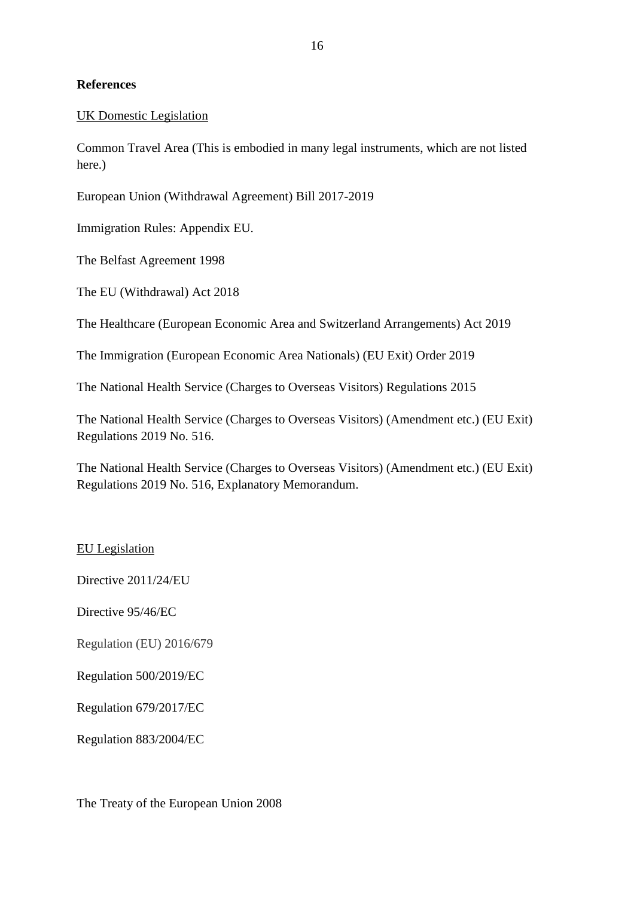# **References**

# UK Domestic Legislation

Common Travel Area (This is embodied in many legal instruments, which are not listed here.)

European Union (Withdrawal Agreement) Bill 2017-2019

Immigration Rules: Appendix EU.

The Belfast Agreement 1998

The EU (Withdrawal) Act 2018

The Healthcare (European Economic Area and Switzerland Arrangements) Act 2019

The Immigration (European Economic Area Nationals) (EU Exit) Order 2019

The National Health Service (Charges to Overseas Visitors) Regulations 2015

The National Health Service (Charges to Overseas Visitors) (Amendment etc.) (EU Exit) Regulations 2019 No. 516.

The National Health Service (Charges to Overseas Visitors) (Amendment etc.) (EU Exit) Regulations 2019 No. 516, Explanatory Memorandum.

## EU Legislation

Directive 2011/24/EU

Directive 95/46/EC

Regulation (EU) 2016/679

Regulation 500/2019/EC

Regulation 679/2017/EC

Regulation 883/2004/EC

The Treaty of the European Union 2008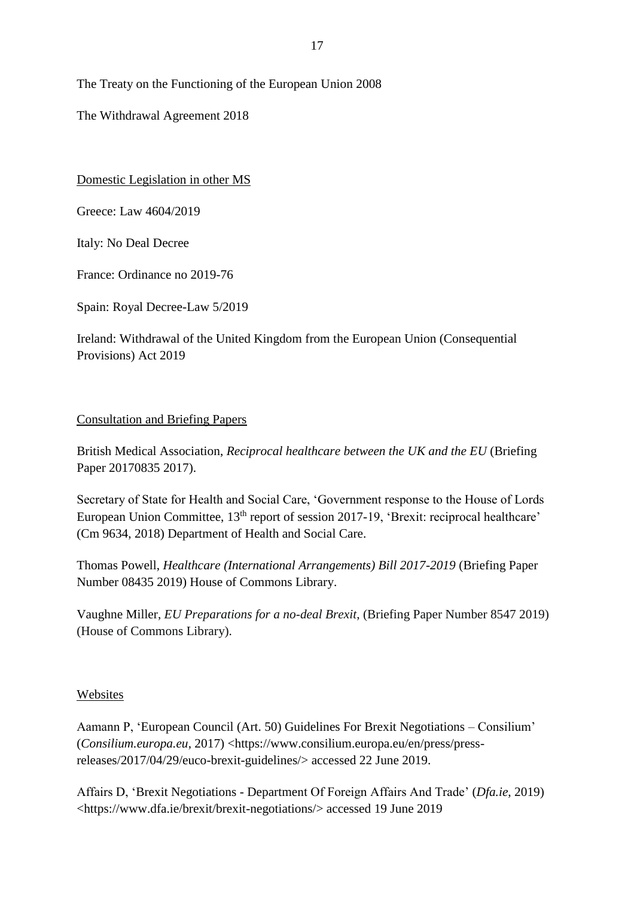The Treaty on the Functioning of the European Union 2008

The Withdrawal Agreement 2018

Domestic Legislation in other MS

Greece: Law 4604/2019

Italy: No Deal Decree

France: Ordinance no 2019-76

Spain: Royal Decree-Law 5/2019

Ireland: Withdrawal of the United Kingdom from the European Union (Consequential Provisions) Act 2019

# Consultation and Briefing Papers

British Medical Association, *Reciprocal healthcare between the UK and the EU* (Briefing Paper 20170835 2017).

Secretary of State for Health and Social Care, 'Government response to the House of Lords European Union Committee, 13<sup>th</sup> report of session 2017-19, 'Brexit: reciprocal healthcare' (Cm 9634, 2018) Department of Health and Social Care.

Thomas Powell, *Healthcare (International Arrangements) Bill 2017-2019* (Briefing Paper Number 08435 2019) House of Commons Library.

Vaughne Miller, *EU Preparations for a no-deal Brexit*, (Briefing Paper Number 8547 2019) (House of Commons Library).

# Websites

Aamann P, 'European Council (Art. 50) Guidelines For Brexit Negotiations – Consilium' (*Consilium.europa.eu*, 2017) <https://www.consilium.europa.eu/en/press/pressreleases/2017/04/29/euco-brexit-guidelines/> accessed 22 June 2019.

Affairs D, 'Brexit Negotiations - Department Of Foreign Affairs And Trade' (*Dfa.ie*, 2019) <https://www.dfa.ie/brexit/brexit-negotiations/> accessed 19 June 2019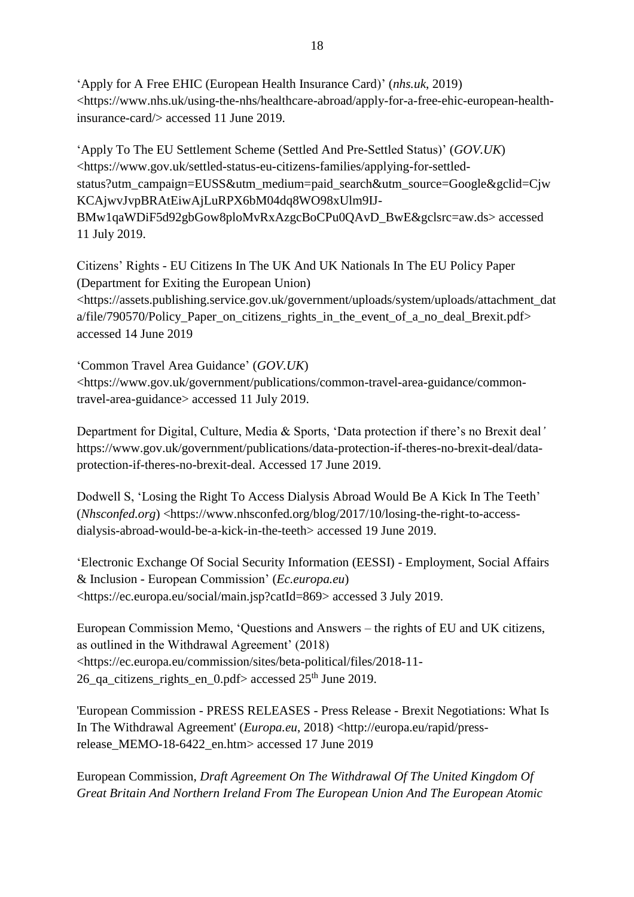'Apply for A Free EHIC (European Health Insurance Card)' (*nhs.uk*, 2019) <https://www.nhs.uk/using-the-nhs/healthcare-abroad/apply-for-a-free-ehic-european-healthinsurance-card/> accessed 11 June 2019.

'Apply To The EU Settlement Scheme (Settled And Pre-Settled Status)' (*GOV.UK*) <https://www.gov.uk/settled-status-eu-citizens-families/applying-for-settledstatus?utm\_campaign=EUSS&utm\_medium=paid\_search&utm\_source=Google&gclid=Cjw KCAjwvJvpBRAtEiwAjLuRPX6bM04dq8WO98xUlm9IJ-BMw1qaWDiF5d92gbGow8ploMvRxAzgcBoCPu0QAvD\_BwE&gclsrc=aw.ds> accessed 11 July 2019.

Citizens' Rights - EU Citizens In The UK And UK Nationals In The EU Policy Paper (Department for Exiting the European Union) <https://assets.publishing.service.gov.uk/government/uploads/system/uploads/attachment\_dat a/file/790570/Policy\_Paper\_on\_citizens\_rights\_in\_the\_event\_of\_a\_no\_deal\_Brexit.pdf> accessed 14 June 2019

'Common Travel Area Guidance' (*GOV.UK*) <https://www.gov.uk/government/publications/common-travel-area-guidance/commontravel-area-guidance> accessed 11 July 2019.

Department for Digital, Culture, Media & Sports, 'Data protection if there's no Brexit deal*'*  https://www.gov.uk/government/publications/data-protection-if-theres-no-brexit-deal/dataprotection-if-theres-no-brexit-deal. Accessed 17 June 2019.

Dodwell S, 'Losing the Right To Access Dialysis Abroad Would Be A Kick In The Teeth' (*Nhsconfed.org*) <https://www.nhsconfed.org/blog/2017/10/losing-the-right-to-accessdialysis-abroad-would-be-a-kick-in-the-teeth> accessed 19 June 2019.

'Electronic Exchange Of Social Security Information (EESSI) - Employment, Social Affairs & Inclusion - European Commission' (*Ec.europa.eu*) <https://ec.europa.eu/social/main.jsp?catId=869> accessed 3 July 2019.

European Commission Memo, 'Questions and Answers – the rights of EU and UK citizens, as outlined in the Withdrawal Agreement' (2018) <https://ec.europa.eu/commission/sites/beta-political/files/2018-11- 26\_qa\_citizens\_rights\_en\_0.pdf> accessed 25<sup>th</sup> June 2019.

'European Commission - PRESS RELEASES - Press Release - Brexit Negotiations: What Is In The Withdrawal Agreement' (*Europa.eu*, 2018) <http://europa.eu/rapid/pressrelease\_MEMO-18-6422\_en.htm> accessed 17 June 2019

European Commission, *Draft Agreement On The Withdrawal Of The United Kingdom Of Great Britain And Northern Ireland From The European Union And The European Atomic*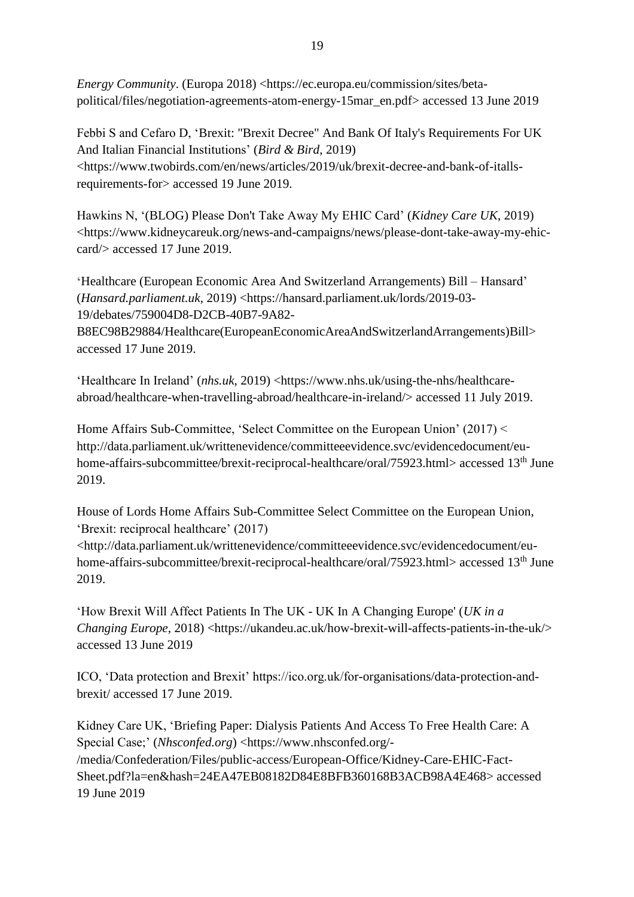*Energy Community*. (Europa 2018) <https://ec.europa.eu/commission/sites/betapolitical/files/negotiation-agreements-atom-energy-15mar\_en.pdf> accessed 13 June 2019

Febbi S and Cefaro D, 'Brexit: "Brexit Decree" And Bank Of Italy's Requirements For UK And Italian Financial Institutions' (*Bird & Bird*, 2019) <https://www.twobirds.com/en/news/articles/2019/uk/brexit-decree-and-bank-of-itallsrequirements-for> accessed 19 June 2019.

Hawkins N, '(BLOG) Please Don't Take Away My EHIC Card' (*Kidney Care UK*, 2019) <https://www.kidneycareuk.org/news-and-campaigns/news/please-dont-take-away-my-ehiccard/> accessed 17 June 2019.

**'**Healthcare (European Economic Area And Switzerland Arrangements) Bill – Hansard' (*Hansard.parliament.uk*, 2019) <https://hansard.parliament.uk/lords/2019-03- 19/debates/759004D8-D2CB-40B7-9A82-

B8EC98B29884/Healthcare(EuropeanEconomicAreaAndSwitzerlandArrangements)Bill> accessed 17 June 2019.

'Healthcare In Ireland' (*nhs.uk*, 2019) <https://www.nhs.uk/using-the-nhs/healthcareabroad/healthcare-when-travelling-abroad/healthcare-in-ireland/> accessed 11 July 2019.

Home Affairs Sub-Committee, 'Select Committee on the European Union' (2017) < http://data.parliament.uk/writtenevidence/committeeevidence.svc/evidencedocument/euhome-affairs-subcommittee/brexit-reciprocal-healthcare/oral/75923.html> accessed 13<sup>th</sup> June 2019.

House of Lords Home Affairs Sub-Committee Select Committee on the European Union, 'Brexit: reciprocal healthcare' (2017)

<http://data.parliament.uk/writtenevidence/committeeevidence.svc/evidencedocument/euhome-affairs-subcommittee/brexit-reciprocal-healthcare/oral/75923.html> accessed  $13<sup>th</sup>$  June 2019.

'How Brexit Will Affect Patients In The UK - UK In A Changing Europe' (*UK in a Changing Europe*, 2018) <https://ukandeu.ac.uk/how-brexit-will-affects-patients-in-the-uk/> accessed 13 June 2019

ICO, 'Data protection and Brexit' https://ico.org.uk/for-organisations/data-protection-andbrexit/ accessed 17 June 2019.

Kidney Care UK, 'Briefing Paper: Dialysis Patients And Access To Free Health Care: A Special Case;' (*Nhsconfed.org*) <https://www.nhsconfed.org/- /media/Confederation/Files/public-access/European-Office/Kidney-Care-EHIC-Fact-Sheet.pdf?la=en&hash=24EA47EB08182D84E8BFB360168B3ACB98A4E468> accessed 19 June 2019